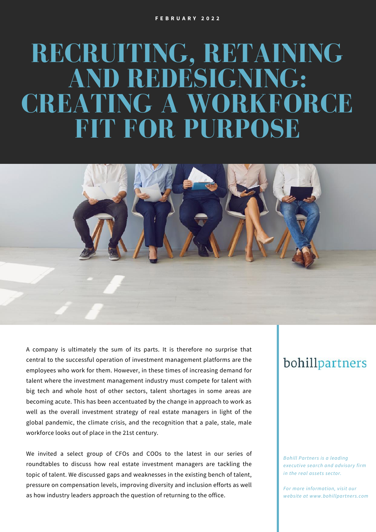# **RECRUITING, RETAINING AND REDESIGNING: CREATING A WORKFORCE FIT FOR PURPOSE**



We invited a select group of CFOs and COOs to the latest in our series of roundtables to discuss how real estate investment managers are tackling the topic of talent. We discussed gaps and weaknesses in the existing bench of talent, pressure on compensation levels, improving diversity and inclusion efforts as well as how industry leaders approach the question of returning to the office.

## bohillpartners

*Bohill Partners is a leading executive search and advisory firm in the real assets sector.*

*For more information, visit our website at www.bohillpartners.com*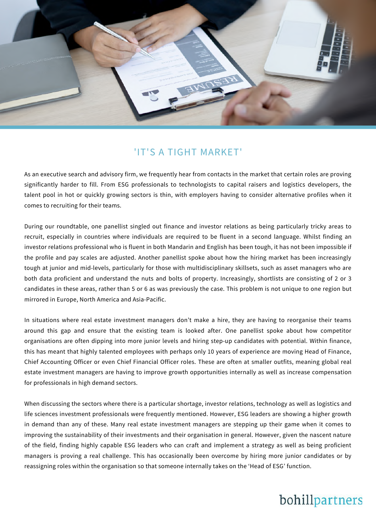

#### 'IT'S A TIGHT MARKET'

As an executive search and advisory firm, we frequently hear from contacts in the market that certain roles are proving significantly harder to fill. From ESG professionals to technologists to capital raisers and logistics developers, the talent pool in hot or quickly growing sectors is thin, with employers having to consider alternative profiles when it comes to recruiting for their teams.

During our roundtable, one panellist singled out finance and investor relations as being particularly tricky areas to recruit, especially in countries where individuals are required to be fluent in a second language. Whilst finding an investor relations professional who is fluent in both Mandarin and English has been tough, it has not been impossible if the profile and pay scales are adjusted. Another panellist spoke about how the hiring market has been increasingly tough at junior and mid-levels, particularly for those with multidisciplinary skillsets, such as asset managers who are both data proficient and understand the nuts and bolts of property. Increasingly, shortlists are consisting of 2 or 3 candidates in these areas, rather than 5 or 6 as was previously the case. This problem is not unique to one region but mirrored in Europe, North America and Asia-Pacific.

In situations where real estate investment managers don't make a hire, they are having to reorganise their teams around this gap and ensure that the existing team is looked after. One panellist spoke about how competitor organisations are often dipping into more junior levels and hiring step-up candidates with potential. Within finance, this has meant that highly talented employees with perhaps only 10 years of experience are moving Head of Finance, Chief Accounting Officer or even Chief Financial Officer roles. These are often at smaller outfits, meaning global real estate investment managers are having to improve growth opportunities internally as well as increase compensation for professionals in high demand sectors.

When discussing the sectors where there is a particular shortage, investor relations, technology as well as logistics and life sciences investment professionals were frequently mentioned. However, ESG leaders are showing a higher growth in demand than any of these. Many real estate investment managers are stepping up their game when it comes to improving the sustainability of their investments and their organisation in general. However, given the nascent nature of the field, finding highly capable ESG leaders who can craft and implement a strategy as well as being proficient managers is proving a real challenge. This has occasionally been overcome by hiring more junior candidates or by reassigning roles within the organisation so that someone internally takes on the 'Head of ESG' function.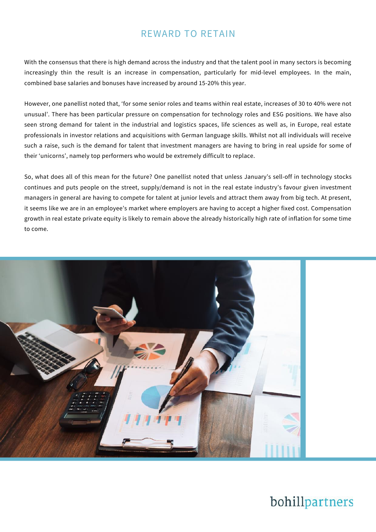## REWARD TO RETAIN

With the consensus that there is high demand across the industry and that the talent pool in many sectors is becoming increasingly thin the result is an increase in compensation, particularly for mid-level employees. In the main, combined base salaries and bonuses have increased by around 15-20% this year.

However, one panellist noted that, 'for some senior roles and teams within real estate, increases of 30 to 40% were not unusual'. There has been particular pressure on compensation for technology roles and ESG positions. We have also seen strong demand for talent in the industrial and logistics spaces, life sciences as well as, in Europe, real estate professionals in investor relations and acquisitions with German language skills. Whilst not all individuals will receive such a raise, such is the demand for talent that investment managers are having to bring in real upside for some of their 'unicorns', namely top performers who would be extremely difficult to replace.

So, what does all of this mean for the future? One panellist noted that unless January's sell-off in technology stocks continues and puts people on the street, supply/demand is not in the real estate industry's favour given investment managers in general are having to compete for talent at junior levels and attract them away from big tech. At present, it seems like we are in an employee's market where employers are having to accept a higher fixed cost. Compensation growth in real estate private equity is likely to remain above the already historically high rate of inflation for some time to come.

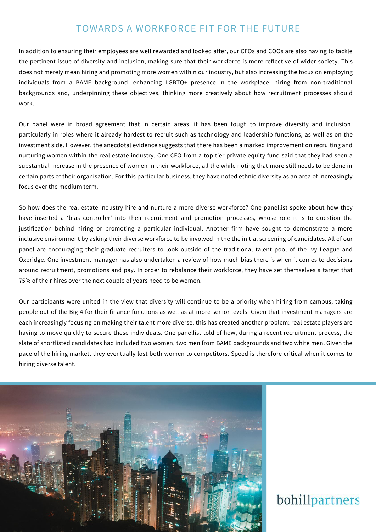## TOWARDS A WORKFORCE FIT FOR THE FUTURE

In addition to ensuring their employees are well rewarded and looked after, our CFOs and COOs are also having to tackle the pertinent issue of diversity and inclusion, making sure that their workforce is more reflective of wider society. This does not merely mean hiring and promoting more women within our industry, but also increasing the focus on employing individuals from a BAME background, enhancing LGBTQ+ presence in the workplace, hiring from non-traditional backgrounds and, underpinning these objectives, thinking more creatively about how recruitment processes should work.

Our panel were in broad agreement that in certain areas, it has been tough to improve diversity and inclusion, particularly in roles where it already hardest to recruit such as technology and leadership functions, as well as on the investment side. However, the anecdotal evidence suggests that there has been a marked improvement on recruiting and nurturing women within the real estate industry. One CFO from a top tier private equity fund said that they had seen a substantial increase in the presence of women in their workforce, all the while noting that more still needs to be done in certain parts of their organisation. For this particular business, they have noted ethnic diversity as an area of increasingly focus over the medium term.

So how does the real estate industry hire and nurture a more diverse workforce? One panellist spoke about how they have inserted a 'bias controller' into their recruitment and promotion processes, whose role it is to question the justification behind hiring or promoting a particular individual. Another firm have sought to demonstrate a more inclusive environment by asking their diverse workforce to be involved in the the initial screening of candidates. All of our panel are encouraging their graduate recruiters to look outside of the traditional talent pool of the Ivy League and Oxbridge. One investment manager has also undertaken a review of how much bias there is when it comes to decisions around recruitment, promotions and pay. In order to rebalance their workforce, they have set themselves a target that 75% of their hires over the next couple of years need to be women.

Our participants were united in the view that diversity will continue to be a priority when hiring from campus, taking people out of the Big 4 for their finance functions as well as at more senior levels. Given that investment managers are each increasingly focusing on making their talent more diverse, this has created another problem: real estate players are having to move quickly to secure these individuals. One panellist told of how, during a recent recruitment process, the slate of shortlisted candidates had included two women, two men from BAME backgrounds and two white men. Given the pace of the hiring market, they eventually lost both women to competitors. Speed is therefore critical when it comes to hiring diverse talent.

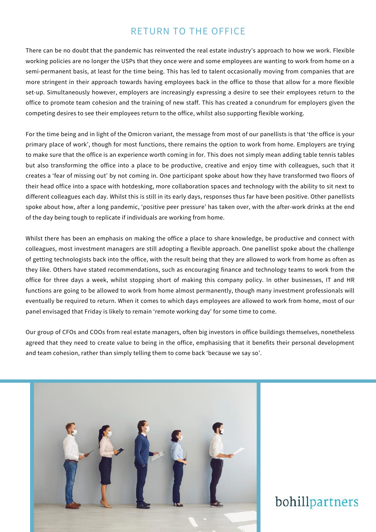### RETURN TO THE OFFICE

There can be no doubt that the pandemic has reinvented the real estate industry's approach to how we work. Flexible working policies are no longer the USPs that they once were and some employees are wanting to work from home on a semi-permanent basis, at least for the time being. This has led to talent occasionally moving from companies that are more stringent in their approach towards having employees back in the office to those that allow for a more flexible set-up. Simultaneously however, employers are increasingly expressing a desire to see their employees return to the office to promote team cohesion and the training of new staff. This has created a conundrum for employers given the competing desires to see their employees return to the office, whilst also supporting flexible working.

For the time being and in light of the Omicron variant, the message from most of our panellists is that 'the office is your primary place of work', though for most functions, there remains the option to work from home. Employers are trying to make sure that the office is an experience worth coming in for. This does not simply mean adding table tennis tables but also transforming the office into a place to be productive, creative and enjoy time with colleagues, such that it creates a 'fear of missing out' by not coming in. One participant spoke about how they have transformed two floors of their head office into a space with hotdesking, more collaboration spaces and technology with the ability to sit next to different colleagues each day. Whilst this is still in its early days, responses thus far have been positive. Other panellists spoke about how, after a long pandemic, 'positive peer pressure' has taken over, with the after-work drinks at the end of the day being tough to replicate if individuals are working from home.

Whilst there has been an emphasis on making the office a place to share knowledge, be productive and connect with colleagues, most investment managers are still adopting a flexible approach. One panellist spoke about the challenge of getting technologists back into the office, with the result being that they are allowed to work from home as often as they like. Others have stated recommendations, such as encouraging finance and technology teams to work from the office for three days a week, whilst stopping short of making this company policy. In other businesses, IT and HR functions are going to be allowed to work from home almost permanently, though many investment professionals will eventually be required to return. When it comes to which days employees are allowed to work from home, most of our panel envisaged that Friday is likely to remain 'remote working day' for some time to come.

Our group of CFOs and COOs from real estate managers, often big investors in office buildings themselves, nonetheless agreed that they need to create value to being in the office, emphasising that it benefits their personal development and team cohesion, rather than simply telling them to come back 'because we say so'.